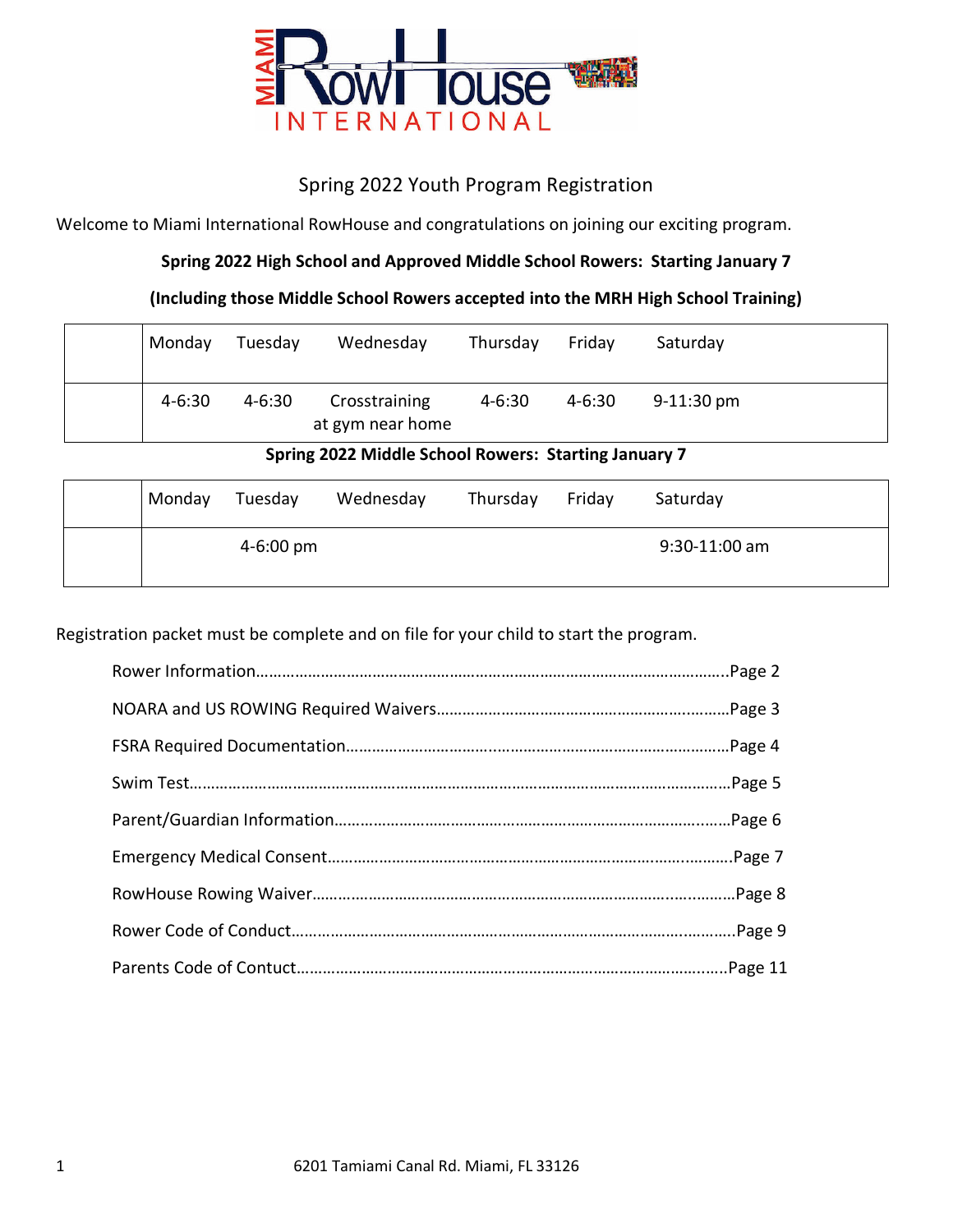

# Spring 2022 Youth Program Registration

Welcome to Miami International RowHouse and congratulations on joining our exciting program.

# **Spring 2022 High School and Approved Middle School Rowers: Starting January 7**

## **(Including those Middle School Rowers accepted into the MRH High School Training)**

| Monday     | Tuesday    | Wednesday                         | Thursday   | Friday     | Saturday             |  |
|------------|------------|-----------------------------------|------------|------------|----------------------|--|
| $4 - 6:30$ | $4 - 6:30$ | Crosstraining<br>at gym near home | $4 - 6:30$ | $4 - 6:30$ | $9-11:30 \text{ pm}$ |  |

## **Spring 2022 Middle School Rowers: Starting January 7**

| Monday | Tuesday               | Wednesday | Thursday | Friday | Saturday        |
|--------|-----------------------|-----------|----------|--------|-----------------|
|        | $4 - 6:00 \text{ pm}$ |           |          |        | $9:30-11:00$ am |

Registration packet must be complete and on file for your child to start the program.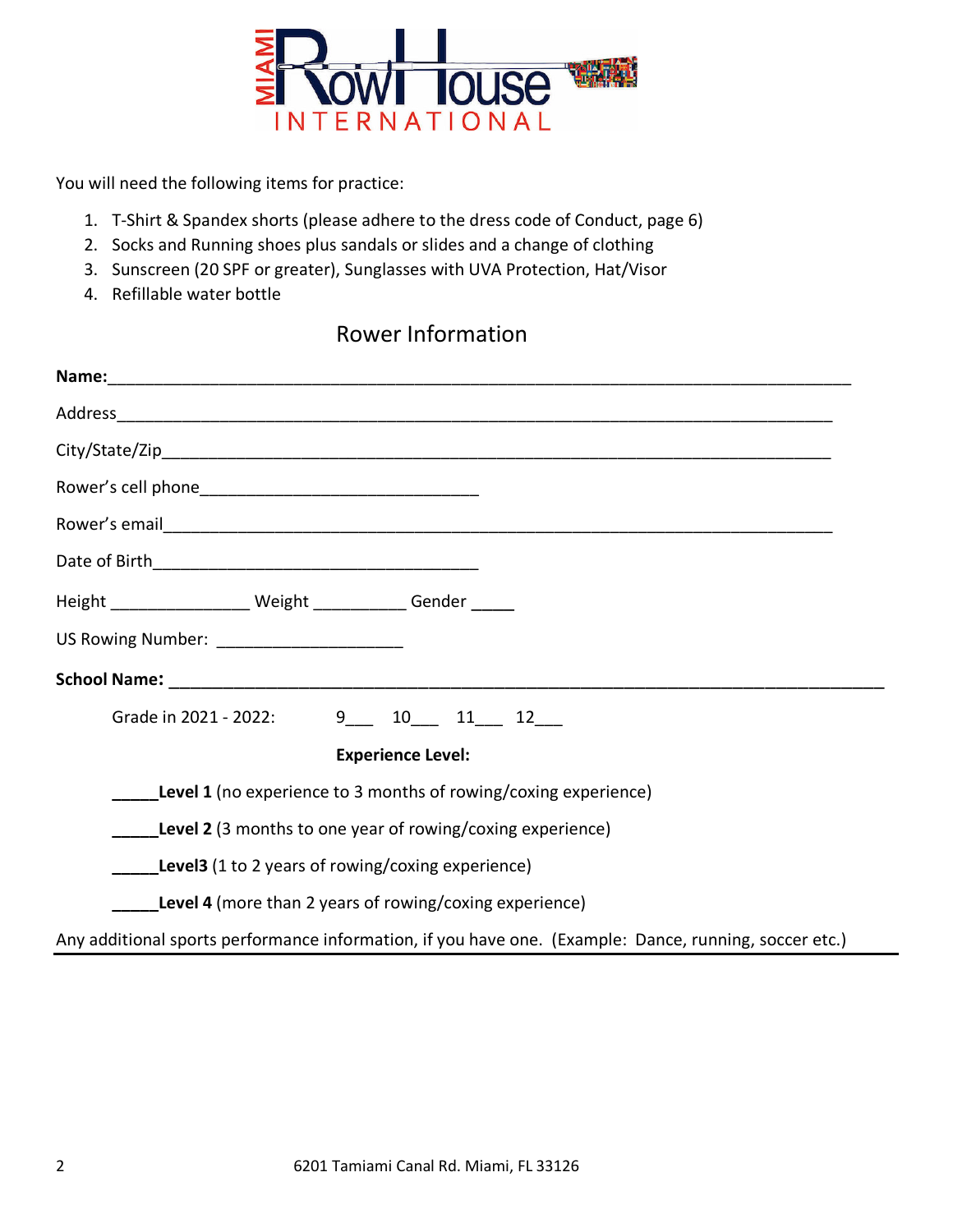

You will need the following items for practice:

- 1. T-Shirt & Spandex shorts (please adhere to the dress code of Conduct, page 6)
- 2. Socks and Running shoes plus sandals or slides and a change of clothing
- 3. Sunscreen (20 SPF or greater), Sunglasses with UVA Protection, Hat/Visor
- 4. Refillable water bottle

# Rower Information

| Name: 1990 - 1990 - 1990 - 1991 - 1992 - 1993 - 1994 - 1995 - 1996 - 1997 - 1998 - 1999 - 1999 - 1999 - 1999 -<br>Note of the state of the state of the state of the state of the state of the state of the state of the state o |  |  |  |  |  |
|----------------------------------------------------------------------------------------------------------------------------------------------------------------------------------------------------------------------------------|--|--|--|--|--|
|                                                                                                                                                                                                                                  |  |  |  |  |  |
|                                                                                                                                                                                                                                  |  |  |  |  |  |
|                                                                                                                                                                                                                                  |  |  |  |  |  |
|                                                                                                                                                                                                                                  |  |  |  |  |  |
|                                                                                                                                                                                                                                  |  |  |  |  |  |
| Height ___________________ Weight ____________ Gender _____                                                                                                                                                                      |  |  |  |  |  |
| US Rowing Number: _______________________                                                                                                                                                                                        |  |  |  |  |  |
|                                                                                                                                                                                                                                  |  |  |  |  |  |
| Grade in 2021 - 2022: 9 10 11 12                                                                                                                                                                                                 |  |  |  |  |  |
| <b>Experience Level:</b>                                                                                                                                                                                                         |  |  |  |  |  |
| <b>Level 1</b> (no experience to 3 months of rowing/coxing experience)                                                                                                                                                           |  |  |  |  |  |
| <b>Level 2</b> (3 months to one year of rowing/coxing experience)                                                                                                                                                                |  |  |  |  |  |
| <b>Level3</b> (1 to 2 years of rowing/coxing experience)                                                                                                                                                                         |  |  |  |  |  |
| <b>Level 4</b> (more than 2 years of rowing/coxing experience)                                                                                                                                                                   |  |  |  |  |  |
| Any additional sports performance information, if you have one. (Example: Dance, running, soccer etc.)                                                                                                                           |  |  |  |  |  |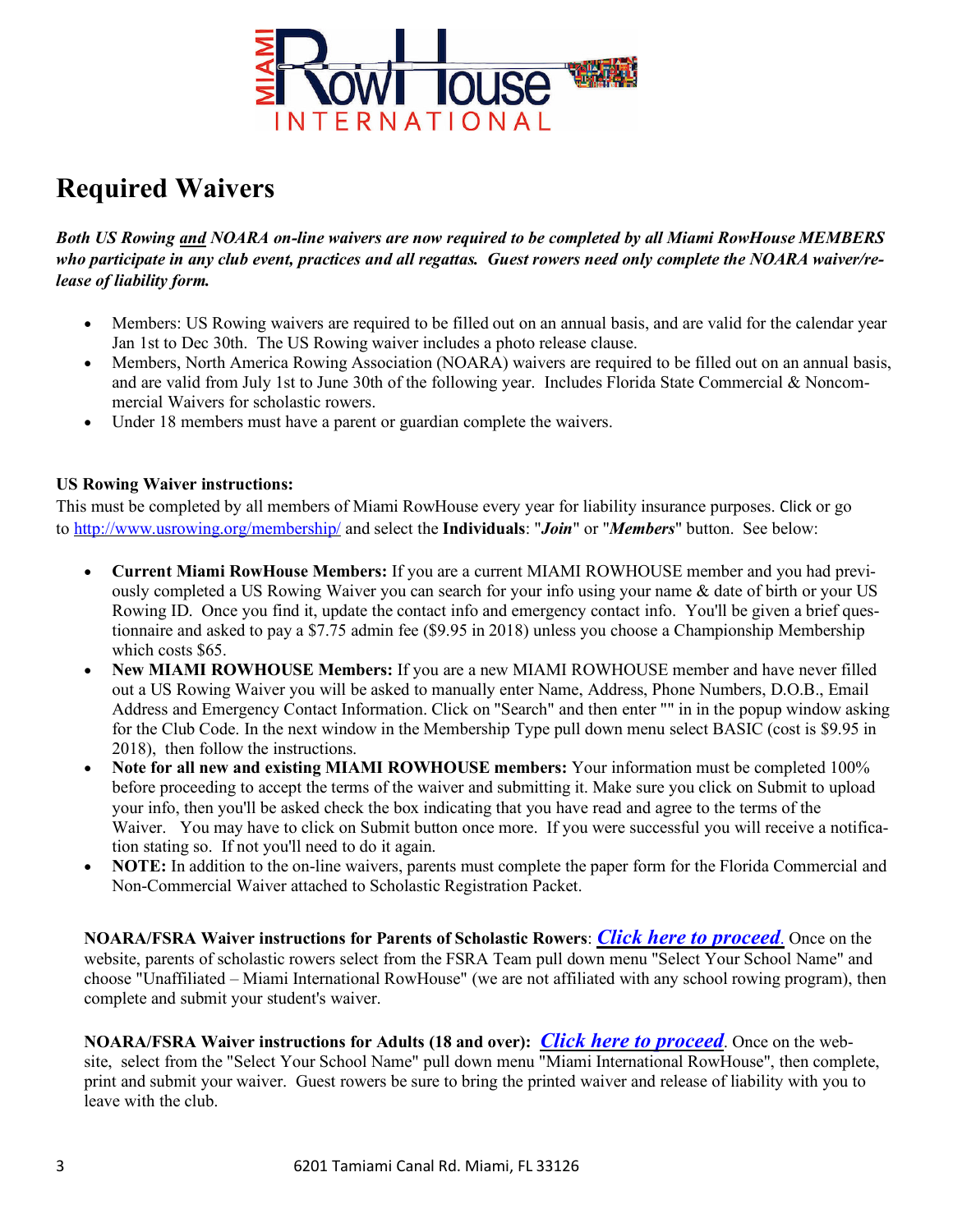

# **Required Waivers**

Both US Rowing and NOARA on-line waivers are now required to be completed by all Miami RowHouse MEMBERS who participate in any club event, practices and all regattas. Guest rowers need only complete the NOARA waiver/re*lease of liability form.*

- Members: US Rowing waivers are required to be filled out on an annual basis, and are valid for the calendar year Jan 1st to Dec 30th. The US Rowing waiver includes a photo release clause.
- Members, North America Rowing Association (NOARA) waivers are required to be filled out on an annual basis, and are valid from July 1st to June 30th of the following year. Includes Florida State Commercial & Noncommercial Waivers for scholastic rowers.
- Under 18 members must have a parent or guardian complete the waivers.

## **US Rowing Waiver instructions:**

This must be completed by all members of Miami RowHouse every year for liability insurance purposes. Click or go to http://www.usrowing.org/membership/ and select the **Individuals**: "*Join*" or "*Members*" button. See below:

- **Current Miami RowHouse Members:** If you are a current MIAMI ROWHOUSE member and you had previously completed a US Rowing Waiver you can search for your info using your name & date of birth or your US Rowing ID. Once you find it, update the contact info and emergency contact info. You'll be given a brief questionnaire and asked to pay a \$7.75 admin fee (\$9.95 in 2018) unless you choose a Championship Membership which costs \$65.
- **New MIAMI ROWHOUSE Members:** If you are a new MIAMI ROWHOUSE member and have never filled out a US Rowing Waiver you will be asked to manually enter Name, Address, Phone Numbers, D.O.B., Email Address and Emergency Contact Information. Click on "Search" and then enter "" in in the popup window asking for the Club Code. In the next window in the Membership Type pull down menu select BASIC (cost is \$9.95 in 2018), then follow the instructions.
- **Note for all new and existing MIAMI ROWHOUSE members:** Your information must be completed 100% before proceeding to accept the terms of the waiver and submitting it. Make sure you click on Submit to upload your info, then you'll be asked check the box indicating that you have read and agree to the terms of the Waiver. You may have to click on Submit button once more. If you were successful you will receive a notification stating so. If not you'll need to do it again.
- **NOTE:** In addition to the on-line waivers, parents must complete the paper form for the Florida Commercial and Non-Commercial Waiver attached to Scholastic Registration Packet.

**NOARA/FSRA Waiver instructions for Parents of Scholastic Rowers**: *Click here to proceed*. Once on the website, parents of scholastic rowers select from the FSRA Team pull down menu "Select Your School Name" and choose "Unaffiliated – Miami International RowHouse" (we are not affiliated with any school rowing program), then complete and submit your student's waiver.

**NOARA/FSRA Waiver instructions for Adults (18 and over):** *Click here to proceed*. Once on the website, select from the "Select Your School Name" pull down menu "Miami International RowHouse", then complete, print and submit your waiver. Guest rowers be sure to bring the printed waiver and release of liability with you to leave with the club.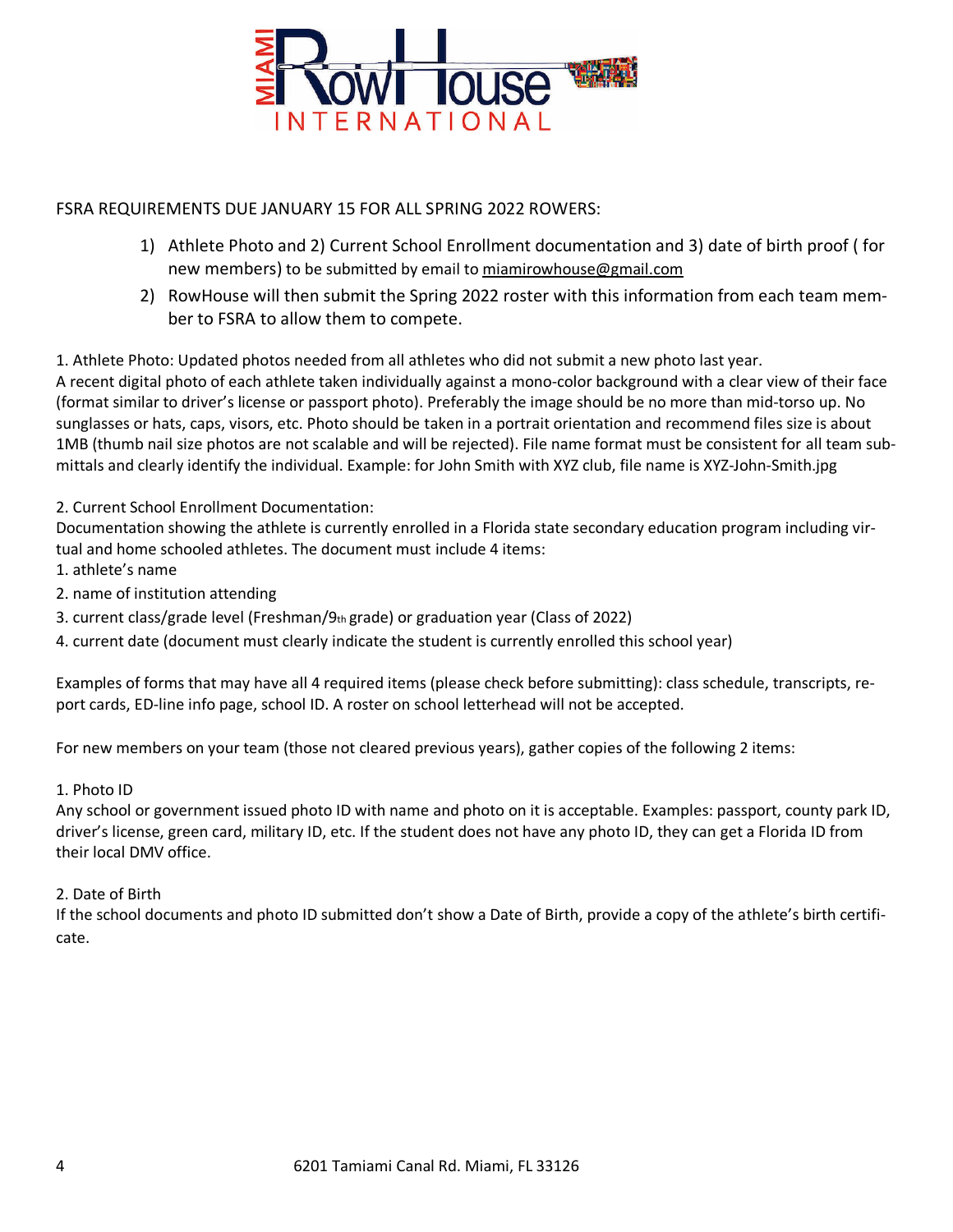

## FSRA REQUIREMENTS DUE JANUARY 15 FOR ALL SPRING 2022 ROWERS:

- 1) Athlete Photo and 2) Current School Enrollment documentation and 3) date of birth proof ( for new members) to be submitted by email to miamirowhouse@gmail.com
- 2) RowHouse will then submit the Spring 2022 roster with this information from each team member to FSRA to allow them to compete.

1. Athlete Photo: Updated photos needed from all athletes who did not submit a new photo last year.

A recent digital photo of each athlete taken individually against a mono-color background with a clear view of their face (format similar to driver's license or passport photo). Preferably the image should be no more than mid-torso up. No sunglasses or hats, caps, visors, etc. Photo should be taken in a portrait orientation and recommend files size is about 1MB (thumb nail size photos are not scalable and will be rejected). File name format must be consistent for all team submittals and clearly identify the individual. Example: for John Smith with XYZ club, file name is XYZ-John-Smith.jpg

### 2. Current School Enrollment Documentation:

Documentation showing the athlete is currently enrolled in a Florida state secondary education program including virtual and home schooled athletes. The document must include 4 items:

- 1. athlete's name
- 2. name of institution attending
- 3. current class/grade level (Freshman/9th grade) or graduation year (Class of 2022)
- 4. current date (document must clearly indicate the student is currently enrolled this school year)

Examples of forms that may have all 4 required items (please check before submitting): class schedule, transcripts, report cards, ED-line info page, school ID. A roster on school letterhead will not be accepted.

For new members on your team (those not cleared previous years), gather copies of the following 2 items:

### 1. Photo ID

Any school or government issued photo ID with name and photo on it is acceptable. Examples: passport, county park ID, driver's license, green card, military ID, etc. If the student does not have any photo ID, they can get a Florida ID from their local DMV office.

### 2. Date of Birth

If the school documents and photo ID submitted don't show a Date of Birth, provide a copy of the athlete's birth certificate.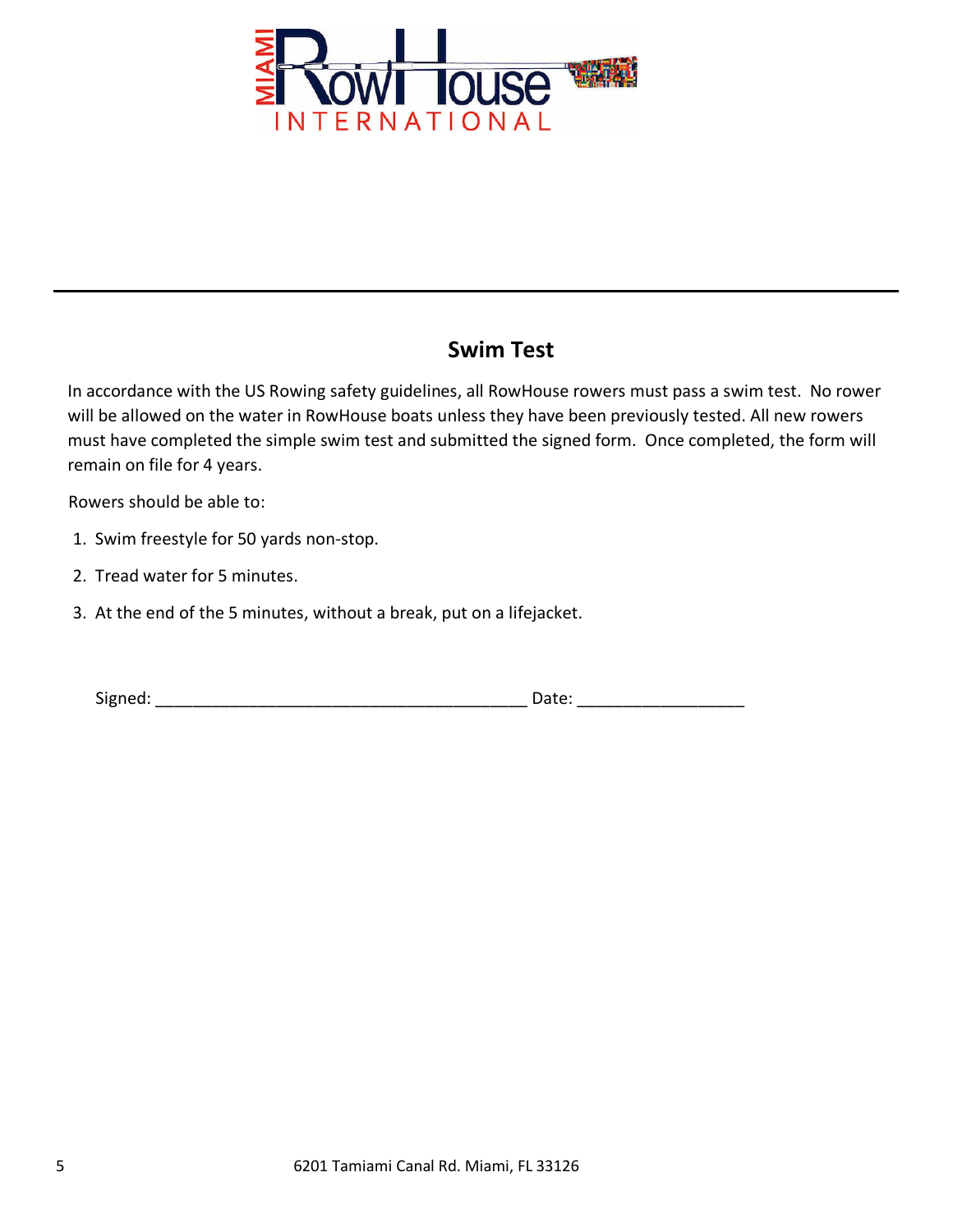

# **Swim Test**

In accordance with the US Rowing safety guidelines, all RowHouse rowers must pass a swim test. No rower will be allowed on the water in RowHouse boats unless they have been previously tested. All new rowers must have completed the simple swim test and submitted the signed form. Once completed, the form will remain on file for 4 years.

Rowers should be able to:

- 1. Swim freestyle for 50 yards non-stop.
- 2. Tread water for 5 minutes.
- 3. At the end of the 5 minutes, without a break, put on a lifejacket.

Signed: \_\_\_\_\_\_\_\_\_\_\_\_\_\_\_\_\_\_\_\_\_\_\_\_\_\_\_\_\_\_\_\_\_\_\_\_\_\_\_\_ Date: \_\_\_\_\_\_\_\_\_\_\_\_\_\_\_\_\_\_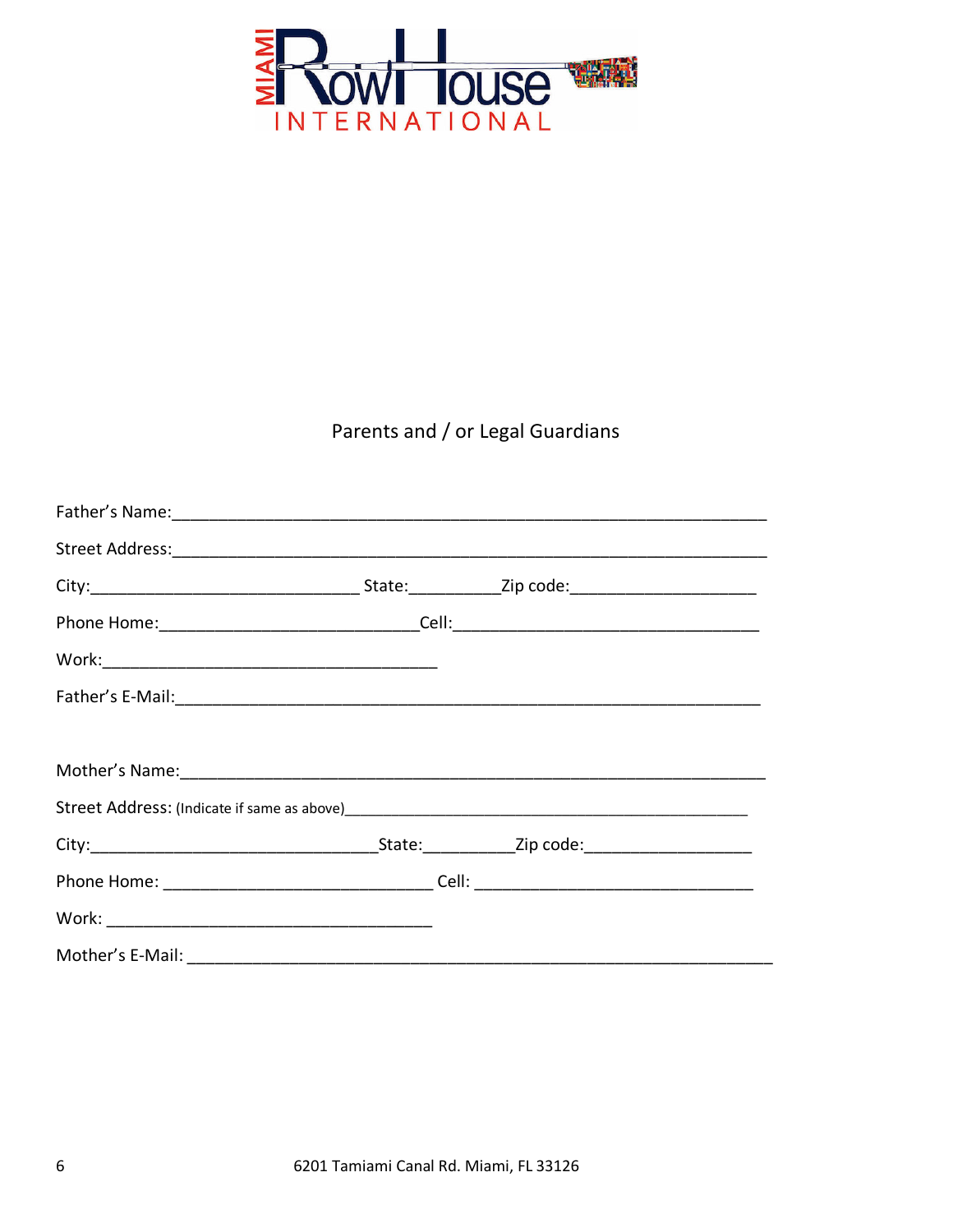

# Parents and / or Legal Guardians

|                                                                                   |  | _State:_______________Zip code:___________________________ |
|-----------------------------------------------------------------------------------|--|------------------------------------------------------------|
| Phone Home: __________________________________Cell: _____________________________ |  |                                                            |
|                                                                                   |  |                                                            |
| Mother's E-Mail:                                                                  |  |                                                            |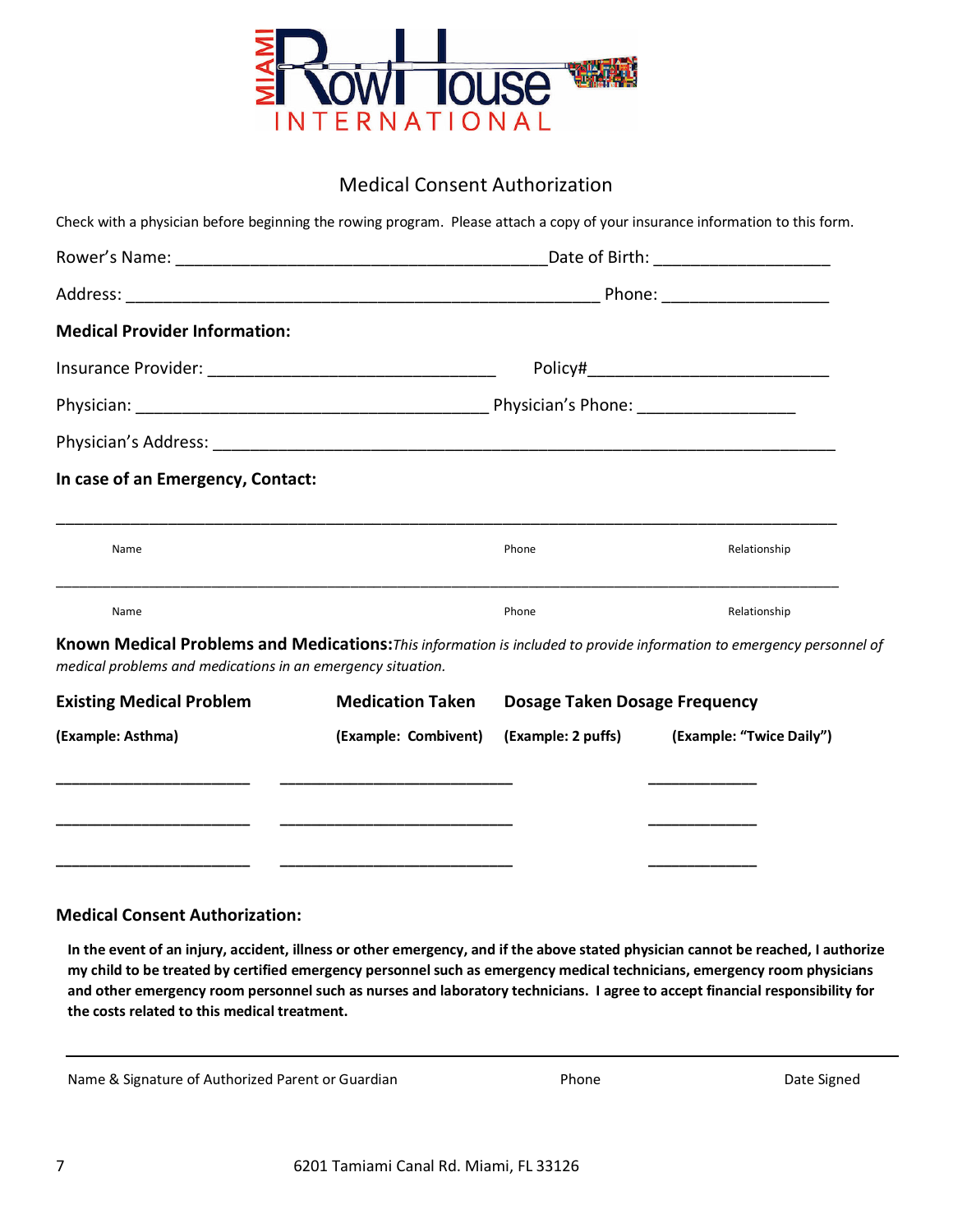

# Medical Consent Authorization

| <b>Medical Provider Information:</b>                                                                                                                                                                                    |                         |                                      |              |  |  |
|-------------------------------------------------------------------------------------------------------------------------------------------------------------------------------------------------------------------------|-------------------------|--------------------------------------|--------------|--|--|
|                                                                                                                                                                                                                         |                         |                                      |              |  |  |
|                                                                                                                                                                                                                         |                         |                                      |              |  |  |
|                                                                                                                                                                                                                         |                         |                                      |              |  |  |
| In case of an Emergency, Contact:                                                                                                                                                                                       |                         |                                      |              |  |  |
| Name                                                                                                                                                                                                                    |                         | Phone                                | Relationship |  |  |
|                                                                                                                                                                                                                         |                         | Phone                                |              |  |  |
| Name                                                                                                                                                                                                                    |                         |                                      | Relationship |  |  |
|                                                                                                                                                                                                                         |                         |                                      |              |  |  |
| Known Medical Problems and Medications: This information is included to provide information to emergency personnel of<br>medical problems and medications in an emergency situation.<br><b>Existing Medical Problem</b> | <b>Medication Taken</b> | <b>Dosage Taken Dosage Frequency</b> |              |  |  |

## **Medical Consent Authorization:**

In the event of an injury, accident, illness or other emergency, and if the above stated physician cannot be reached, I authorize my child to be treated by certified emergency personnel such as emergency medical technicians, emergency room physicians and other emergency room personnel such as nurses and laboratory technicians. I agree to accept financial responsibility for **the costs related to this medical treatment.**

Name & Signature of Authorized Parent or Guardian **Phone** Phone Phone Date Signed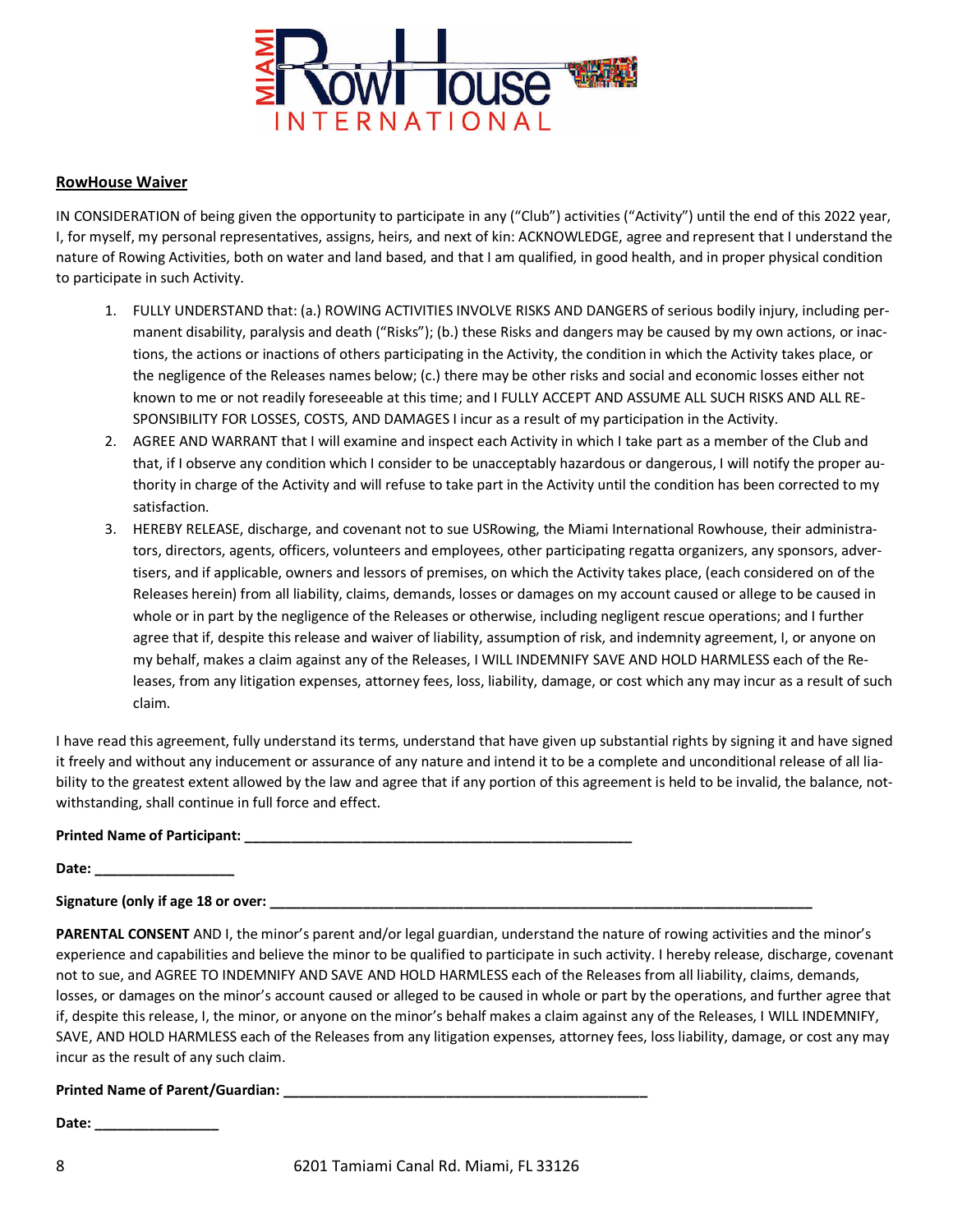

#### **RowHouse Waiver**

IN CONSIDERATION of being given the opportunity to participate in any ("Club") activities ("Activity") until the end of this 2022 year, I, for myself, my personal representatives, assigns, heirs, and next of kin: ACKNOWLEDGE, agree and represent that I understand the nature of Rowing Activities, both on water and land based, and that I am qualified, in good health, and in proper physical condition to participate in such Activity.

- 1. FULLY UNDERSTAND that: (a.) ROWING ACTIVITIES INVOLVE RISKS AND DANGERS of serious bodily injury, including permanent disability, paralysis and death ("Risks"); (b.) these Risks and dangers may be caused by my own actions, or inactions, the actions or inactions of others participating in the Activity, the condition in which the Activity takes place, or the negligence of the Releases names below; (c.) there may be other risks and social and economic losses either not known to me or not readily foreseeable at this time; and I FULLY ACCEPT AND ASSUME ALL SUCH RISKS AND ALL RE-SPONSIBILITY FOR LOSSES, COSTS, AND DAMAGES I incur as a result of my participation in the Activity.
- 2. AGREE AND WARRANT that I will examine and inspect each Activity in which I take part as a member of the Club and that, if I observe any condition which I consider to be unacceptably hazardous or dangerous, I will notify the proper authority in charge of the Activity and will refuse to take part in the Activity until the condition has been corrected to my satisfaction.
- 3. HEREBY RELEASE, discharge, and covenant not to sue USRowing, the Miami International Rowhouse, their administrators, directors, agents, officers, volunteers and employees, other participating regatta organizers, any sponsors, advertisers, and if applicable, owners and lessors of premises, on which the Activity takes place, (each considered on of the Releases herein) from all liability, claims, demands, losses or damages on my account caused or allege to be caused in whole or in part by the negligence of the Releases or otherwise, including negligent rescue operations; and I further agree that if, despite this release and waiver of liability, assumption of risk, and indemnity agreement, I, or anyone on my behalf, makes a claim against any of the Releases, I WILL INDEMNIFY SAVE AND HOLD HARMLESS each of the Releases, from any litigation expenses, attorney fees, loss, liability, damage, or cost which any may incur as a result of such claim.

I have read this agreement, fully understand its terms, understand that have given up substantial rights by signing it and have signed it freely and without any inducement or assurance of any nature and intend it to be a complete and unconditional release of all liability to the greatest extent allowed by the law and agree that if any portion of this agreement is held to be invalid, the balance, notwithstanding, shall continue in full force and effect.

#### **Printed Name of Participant: \_\_\_\_\_\_\_\_\_\_\_\_\_\_\_\_\_\_\_\_\_\_\_\_\_\_\_\_\_\_\_\_\_\_\_\_\_\_\_\_\_\_\_\_\_\_\_\_\_\_**

**Date: \_\_\_\_\_\_\_\_\_\_\_\_\_\_\_\_\_\_**

**Signature (only if age 18 or over: \_\_\_\_\_\_\_\_\_\_\_\_\_\_\_\_\_\_\_\_\_\_\_\_\_\_\_\_\_\_\_\_\_\_\_\_\_\_\_\_\_\_\_\_\_\_\_\_\_\_\_\_\_\_\_\_\_\_\_\_\_\_\_\_\_\_\_\_\_\_**

**PARENTAL CONSENT** AND I, the minor's parent and/or legal guardian, understand the nature of rowing activities and the minor's experience and capabilities and believe the minor to be qualified to participate in such activity. I hereby release, discharge, covenant not to sue, and AGREE TO INDEMNIFY AND SAVE AND HOLD HARMLESS each of the Releases from all liability, claims, demands, losses, or damages on the minor's account caused or alleged to be caused in whole or part by the operations, and further agree that if, despite this release, I, the minor, or anyone on the minor's behalf makes a claim against any of the Releases, I WILL INDEMNIFY, SAVE, AND HOLD HARMLESS each of the Releases from any litigation expenses, attorney fees, loss liability, damage, or cost any may incur as the result of any such claim.

#### **Printed Name of Parent/Guardian: \_\_\_\_\_\_\_\_\_\_\_\_\_\_\_\_\_\_\_\_\_\_\_\_\_\_\_\_\_\_\_\_\_\_\_\_\_\_\_\_\_\_\_\_\_\_\_**

**Date: \_\_\_\_\_\_\_\_\_\_\_\_\_\_\_\_**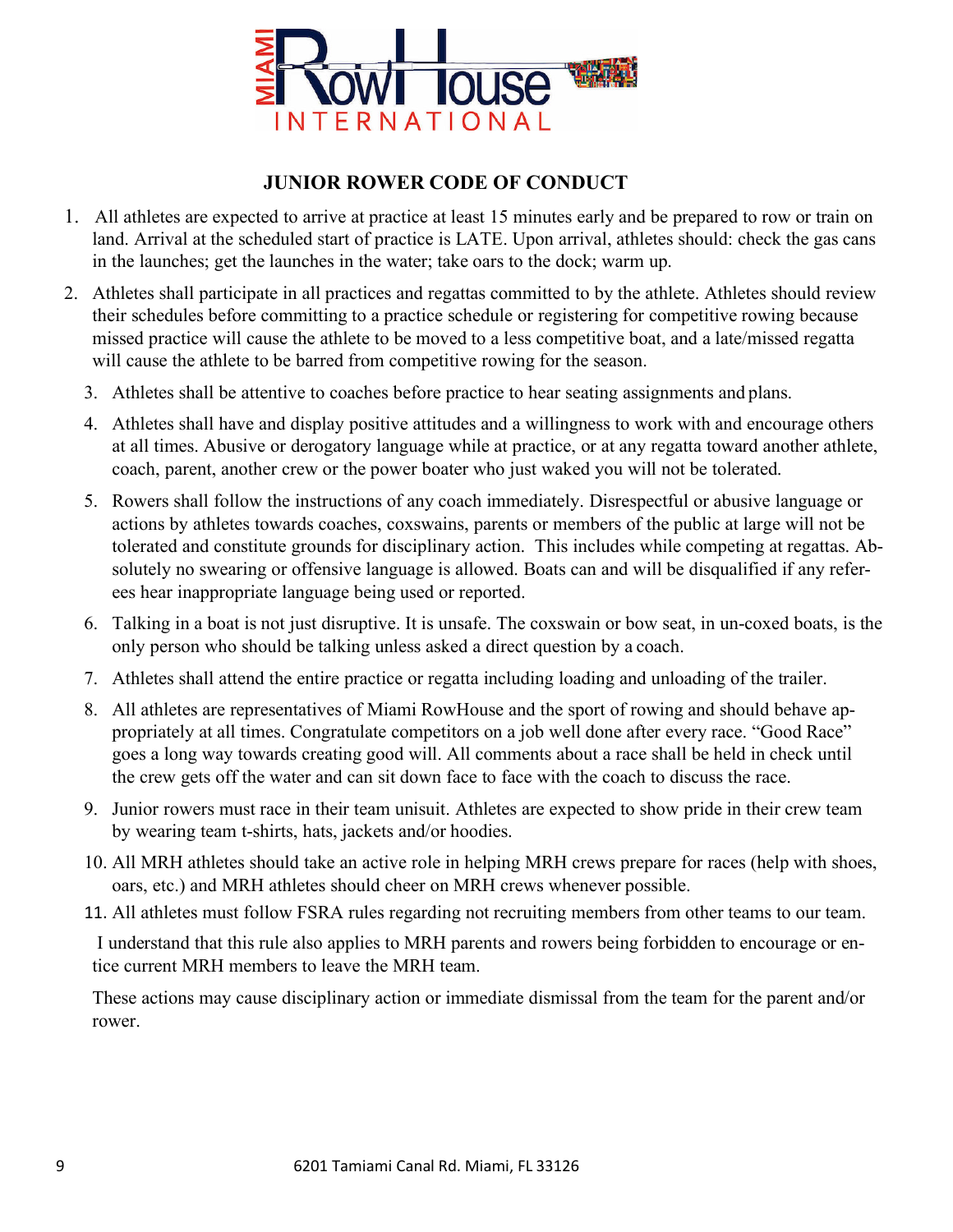

# **JUNIOR ROWER CODE OF CONDUCT**

- 1. All athletes are expected to arrive at practice at least 15 minutes early and be prepared to row or train on land. Arrival at the scheduled start of practice is LATE. Upon arrival, athletes should: check the gas cans in the launches; get the launches in the water; take oars to the dock; warm up.
- 2. Athletes shall participate in all practices and regattas committed to by the athlete. Athletes should review their schedules before committing to a practice schedule or registering for competitive rowing because missed practice will cause the athlete to be moved to a less competitive boat, and a late/missed regatta will cause the athlete to be barred from competitive rowing for the season.
	- 3. Athletes shall be attentive to coaches before practice to hear seating assignments and plans.
	- 4. Athletes shall have and display positive attitudes and a willingness to work with and encourage others at all times. Abusive or derogatory language while at practice, or at any regatta toward another athlete, coach, parent, another crew or the power boater who just waked you will not be tolerated.
	- 5. Rowers shall follow the instructions of any coach immediately. Disrespectful or abusive language or actions by athletes towards coaches, coxswains, parents or members of the public at large will not be tolerated and constitute grounds for disciplinary action. This includes while competing at regattas. Absolutely no swearing or offensive language is allowed. Boats can and will be disqualified if any referees hear inappropriate language being used or reported.
	- 6. Talking in a boat is not just disruptive. It is unsafe. The coxswain or bow seat, in un-coxed boats, is the only person who should be talking unless asked a direct question by a coach.
	- 7. Athletes shall attend the entire practice or regatta including loading and unloading of the trailer.
	- 8. All athletes are representatives of Miami RowHouse and the sport of rowing and should behave appropriately at all times. Congratulate competitors on a job well done after every race. "Good Race" goes a long way towards creating good will. All comments about a race shall be held in check until the crew gets off the water and can sit down face to face with the coach to discuss the race.
	- 9. Junior rowers must race in their team unisuit. Athletes are expected to show pride in their crew team by wearing team t-shirts, hats, jackets and/or hoodies.
	- 10. All MRH athletes should take an active role in helping MRH crews prepare for races (help with shoes, oars, etc.) and MRH athletes should cheer on MRH crews whenever possible.
	- 11. All athletes must follow FSRA rules regarding not recruiting members from other teams to our team.

I understand that this rule also applies to MRH parents and rowers being forbidden to encourage or entice current MRH members to leave the MRH team.

These actions may cause disciplinary action or immediate dismissal from the team for the parent and/or rower.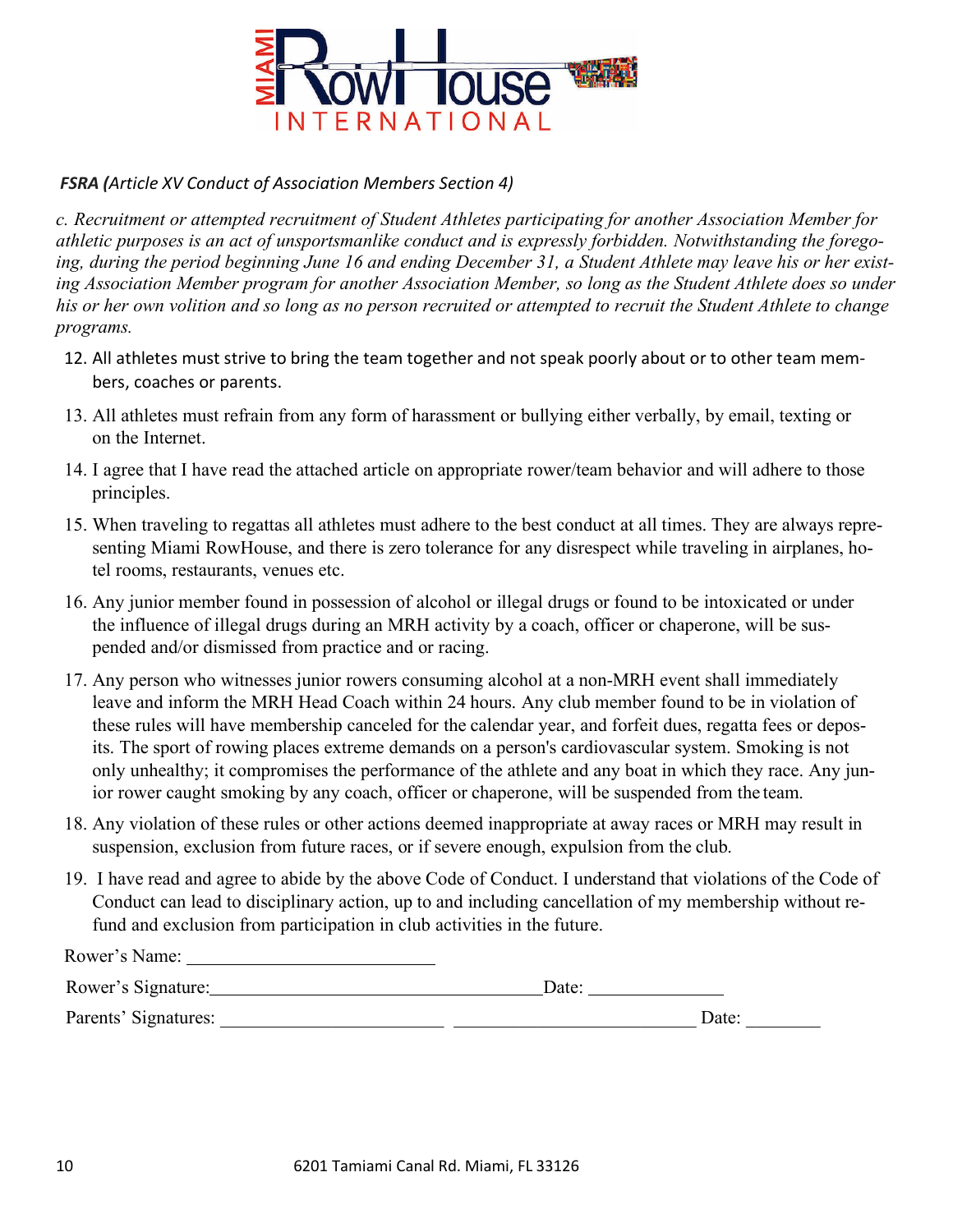

# *FSRA (Article XV Conduct of Association Members Section 4)*

*c. Recruitment or attempted recruitment of Student Athletes participating for another Association Member for athletic purposes is an act of unsportsmanlike conduct and is expressly forbidden. Notwithstanding the forego*ing, during the period beginning June 16 and ending December 31, a Student Athlete may leave his or her existing Association Member program for another Association Member, so long as the Student Athlete does so under his or her own volition and so long as no person recruited or attempted to recruit the Student Athlete to change *programs.*

- 12. All athletes must strive to bring the team together and not speak poorly about or to other team members, coaches or parents.
- 13. All athletes must refrain from any form of harassment or bullying either verbally, by email, texting or on the Internet.
- 14. I agree that I have read the attached article on appropriate rower/team behavior and will adhere to those principles.
- 15. When traveling to regattas all athletes must adhere to the best conduct at all times. They are always representing Miami RowHouse, and there is zero tolerance for any disrespect while traveling in airplanes, hotel rooms, restaurants, venues etc.
- 16. Any junior member found in possession of alcohol or illegal drugs or found to be intoxicated or under the influence of illegal drugs during an MRH activity by a coach, officer or chaperone, will be suspended and/or dismissed from practice and or racing.
- 17. Any person who witnesses junior rowers consuming alcohol at a non-MRH event shall immediately leave and inform the MRH Head Coach within 24 hours. Any club member found to be in violation of these rules will have membership canceled for the calendar year, and forfeit dues, regatta fees or deposits. The sport of rowing places extreme demands on a person's cardiovascular system. Smoking is not only unhealthy; it compromises the performance of the athlete and any boat in which they race. Any junior rower caught smoking by any coach, officer or chaperone, will be suspended from the team.
- 18. Any violation of these rules or other actions deemed inappropriate at away races or MRH may result in suspension, exclusion from future races, or if severe enough, expulsion from the club.
- 19. I have read and agree to abide by the above Code of Conduct. I understand that violations of the Code of Conduct can lead to disciplinary action, up to and including cancellation of my membership without refund and exclusion from participation in club activities in the future.

| Rower's Name:        |       |       |
|----------------------|-------|-------|
| Rower's Signature:   | Date: |       |
| Parents' Signatures: |       | Date: |
|                      |       |       |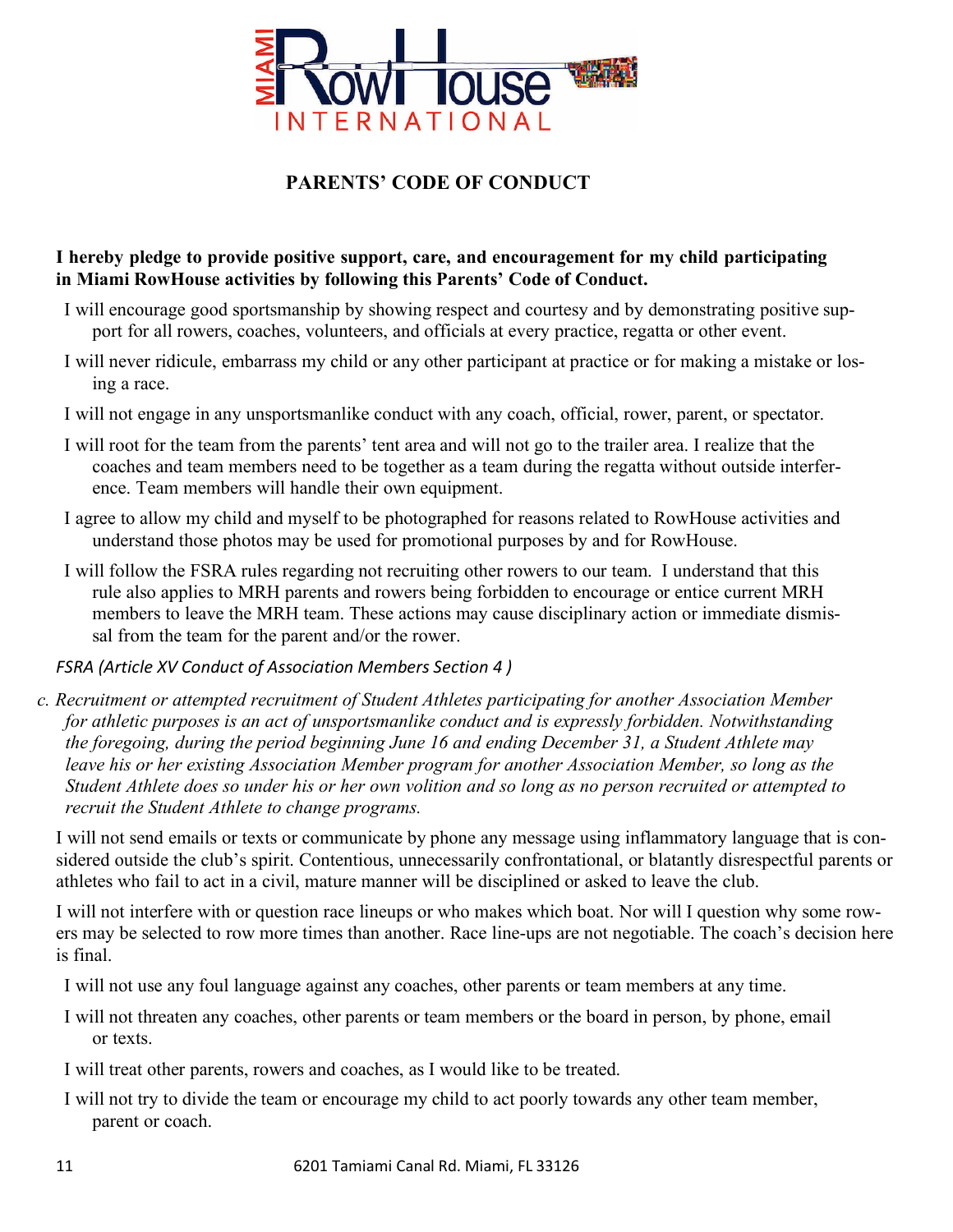

# **PARENTS' CODE OF CONDUCT**

## **I hereby pledge to provide positive support, care, and encouragement for my child participating in Miami RowHouse activities by following this Parents' Code of Conduct.**

- I will encourage good sportsmanship by showing respect and courtesy and by demonstrating positive support for all rowers, coaches, volunteers, and officials at every practice, regatta or other event.
- I will never ridicule, embarrass my child or any other participant at practice or for making a mistake or losing a race.
- I will not engage in any unsportsmanlike conduct with any coach, official, rower, parent, or spectator.
- I will root for the team from the parents' tent area and will not go to the trailer area. I realize that the coaches and team members need to be together as a team during the regatta without outside interference. Team members will handle their own equipment.
- I agree to allow my child and myself to be photographed for reasons related to RowHouse activities and understand those photos may be used for promotional purposes by and for RowHouse.
- I will follow the FSRA rules regarding not recruiting other rowers to our team. I understand that this rule also applies to MRH parents and rowers being forbidden to encourage or entice current MRH members to leave the MRH team. These actions may cause disciplinary action or immediate dismissal from the team for the parent and/or the rower.

## *FSRA (Article XV Conduct of Association Members Section 4 )*

*c. Recruitment or attempted recruitment of Student Athletes participating for another Association Member for athletic purposes is an act of unsportsmanlike conduct and is expressly forbidden. Notwithstanding the foregoing, during the period beginning June 16 and ending December 31, a Student Athlete may leave his or her existing Association Member program for another Association Member, so long as the Student Athlete does so under his or her own volition and so long as no person recruited or attempted to recruit the Student Athlete to change programs.*

I will not send emails or texts or communicate by phone any message using inflammatory language that is considered outside the club's spirit. Contentious, unnecessarily confrontational, or blatantly disrespectful parents or athletes who fail to act in a civil, mature manner will be disciplined or asked to leave the club.

I will not interfere with or question race lineups or who makes which boat. Nor will I question why some rowers may be selected to row more times than another. Race line-ups are not negotiable. The coach's decision here is final.

- I will not use any foul language against any coaches, other parents or team members at any time.
- I will not threaten any coaches, other parents or team members or the board in person, by phone, email or texts.

I will treat other parents, rowers and coaches, as I would like to be treated.

I will not try to divide the team or encourage my child to act poorly towards any other team member, parent or coach.